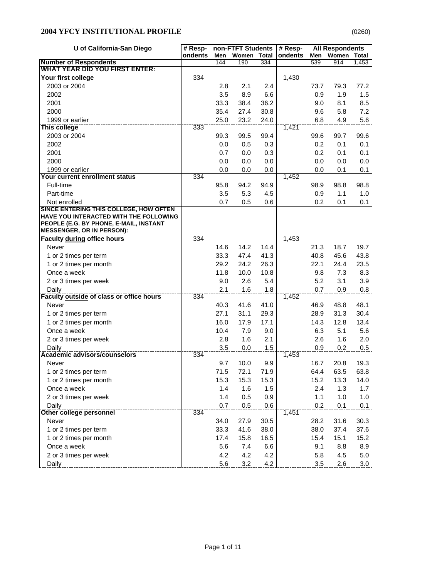| U of California-San Diego                                                        | # Resp- |      | non-FTFT Students |              | # Resp- |      | <b>All Respondents</b> |              |
|----------------------------------------------------------------------------------|---------|------|-------------------|--------------|---------|------|------------------------|--------------|
|                                                                                  | ondents | Men  | Women             | <b>Total</b> | ondents | Men  | Women                  | <b>Total</b> |
| <b>Number of Respondents</b>                                                     |         | 144  | 190               | 334          |         | 539  | 914                    | 1,453        |
| <b>WHAT YEAR DID YOU FIRST ENTER:</b>                                            |         |      |                   |              |         |      |                        |              |
| Your first college                                                               | 334     |      |                   |              | 1,430   |      |                        |              |
| 2003 or 2004                                                                     |         | 2.8  | 2.1               | 2.4          |         | 73.7 | 79.3                   | 77.2         |
| 2002                                                                             |         | 3.5  | 8.9               | 6.6          |         | 0.9  | 1.9                    | 1.5          |
| 2001                                                                             |         | 33.3 | 38.4              | 36.2         |         | 9.0  | 8.1                    | 8.5          |
| 2000                                                                             |         | 35.4 | 27.4              | 30.8         |         | 9.6  | 5.8                    | 7.2          |
| 1999 or earlier                                                                  |         | 25.0 | 23.2              | 24.0         |         | 6.8  | 4.9                    | 5.6          |
| This college                                                                     | 333     |      |                   |              | 1,421   |      |                        |              |
| 2003 or 2004                                                                     |         | 99.3 | 99.5              | 99.4         |         | 99.6 | 99.7                   | 99.6         |
| 2002                                                                             |         | 0.0  | 0.5               | 0.3          |         | 0.2  | 0.1                    | 0.1          |
| 2001                                                                             |         | 0.7  | 0.0               | 0.3          |         | 0.2  | 0.1                    | 0.1          |
| 2000                                                                             |         | 0.0  | 0.0               | 0.0          |         | 0.0  | 0.0                    | 0.0          |
| 1999 or earlier                                                                  |         | 0.0  | 0.0               | 0.0          |         | 0.0  | 0.1                    | 0.1          |
| Your current enrollment status                                                   | 334     |      |                   |              | 1,452   |      |                        |              |
| Full-time                                                                        |         | 95.8 | 94.2              | 94.9         |         | 98.9 | 98.8                   | 98.8         |
| Part-time                                                                        |         | 3.5  | 5.3               | 4.5          |         | 0.9  | 1.1                    | 1.0          |
| Not enrolled                                                                     |         | 0.7  | 0.5               | 0.6          |         | 0.2  | 0.1                    | 0.1          |
| SINCE ENTERING THIS COLLEGE, HOW OFTEN<br>HAVE YOU INTERACTED WITH THE FOLLOWING |         |      |                   |              |         |      |                        |              |
| PEOPLE (E.G. BY PHONE, E-MAIL, INSTANT                                           |         |      |                   |              |         |      |                        |              |
| <b>MESSENGER, OR IN PERSON):</b>                                                 |         |      |                   |              |         |      |                        |              |
| Faculty during office hours                                                      | 334     |      |                   |              | 1,453   |      |                        |              |
| Never                                                                            |         | 14.6 | 14.2              | 14.4         |         | 21.3 | 18.7                   | 19.7         |
| 1 or 2 times per term                                                            |         | 33.3 | 47.4              | 41.3         |         | 40.8 | 45.6                   | 43.8         |
| 1 or 2 times per month                                                           |         | 29.2 | 24.2              | 26.3         |         | 22.1 | 24.4                   | 23.5         |
| Once a week                                                                      |         | 11.8 | 10.0              | 10.8         |         | 9.8  | 7.3                    | 8.3          |
| 2 or 3 times per week                                                            |         | 9.0  | 2.6               | 5.4          |         | 5.2  | 3.1                    | 3.9          |
| Daily                                                                            |         | 2.1  | 1.6               | 1.8          |         | 0.7  | 0.9                    | 0.8          |
| <b>Faculty outside of class or office hours</b>                                  | 334     |      |                   |              | 1,452   |      |                        |              |
| Never                                                                            |         | 40.3 | 41.6              | 41.0         |         | 46.9 | 48.8                   | 48.1         |
| 1 or 2 times per term                                                            |         | 27.1 | 31.1              | 29.3         |         | 28.9 | 31.3                   | 30.4         |
| 1 or 2 times per month                                                           |         | 16.0 | 17.9              | 17.1         |         | 14.3 | 12.8                   | 13.4         |
| Once a week                                                                      |         | 10.4 | 7.9               | 9.0          |         | 6.3  | 5.1                    | 5.6          |
| 2 or 3 times per week                                                            |         | 2.8  | 1.6               | 2.1          |         | 2.6  | 1.6                    | 2.0          |
| Daily                                                                            |         | 3.5  | 0.0               | 1.5          |         | 0.9  | 0.2                    | 0.5          |
| Academic advisors/counselors                                                     | 334     |      |                   |              | 1,453   |      |                        |              |
| Never                                                                            |         | 9.7  | 10.0              | 9.9          |         | 16.7 | 20.8                   | 19.3         |
| 1 or 2 times per term                                                            |         | 71.5 | 72.1              | 71.9         |         | 64.4 | 63.5                   | 63.8         |
| 1 or 2 times per month                                                           |         | 15.3 | 15.3              | 15.3         |         | 15.2 | 13.3                   | 14.0         |
| Once a week                                                                      |         | 1.4  | 1.6               | 1.5          |         | 2.4  | 1.3                    | 1.7          |
| 2 or 3 times per week                                                            |         | 1.4  | 0.5               | 0.9          |         | 1.1  | 1.0                    | 1.0          |
| Daily                                                                            |         | 0.7  | 0.5               | 0.6          |         | 0.2  | 0.1                    | 0.1          |
| <b>Other college personnel</b>                                                   | 334     |      |                   |              | 1,451   |      |                        |              |
| Never                                                                            |         | 34.0 | 27.9              | 30.5         |         | 28.2 | 31.6                   | 30.3         |
| 1 or 2 times per term                                                            |         | 33.3 | 41.6              | 38.0         |         | 38.0 | 37.4                   | 37.6         |
| 1 or 2 times per month                                                           |         | 17.4 | 15.8              | 16.5         |         | 15.4 | 15.1                   | 15.2         |
| Once a week                                                                      |         | 5.6  | 7.4               | 6.6          |         | 9.1  | 8.8                    | 8.9          |
| 2 or 3 times per week                                                            |         | 4.2  | 4.2               | 4.2          |         | 5.8  | 4.5                    | 5.0          |
| Daily                                                                            |         | 5.6  | 3.2               | 4.2          |         | 3.5  | 2.6                    | 3.0          |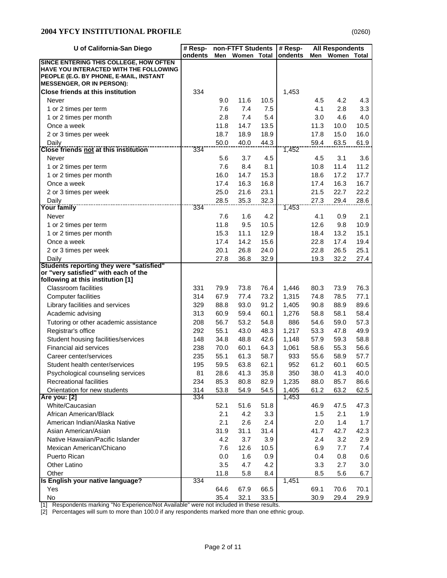| U of California-San Diego                                                                                                                                      | # Resp- |      | non-FTFT Students |      | # Resp- |      |             | <b>All Respondents</b> |  |
|----------------------------------------------------------------------------------------------------------------------------------------------------------------|---------|------|-------------------|------|---------|------|-------------|------------------------|--|
|                                                                                                                                                                | ondents | Men  | Women Total       |      | ondents | Men  | Women Total |                        |  |
| SINCE ENTERING THIS COLLEGE, HOW OFTEN<br>HAVE YOU INTERACTED WITH THE FOLLOWING<br>PEOPLE (E.G. BY PHONE, E-MAIL, INSTANT<br><b>MESSENGER, OR IN PERSON):</b> |         |      |                   |      |         |      |             |                        |  |
| <b>Close friends at this institution</b>                                                                                                                       | 334     |      |                   |      | 1,453   |      |             |                        |  |
| Never                                                                                                                                                          |         | 9.0  | 11.6              | 10.5 |         | 4.5  | 4.2         | 4.3                    |  |
| 1 or 2 times per term                                                                                                                                          |         | 7.6  | 7.4               | 7.5  |         | 4.1  | 2.8         | 3.3                    |  |
| 1 or 2 times per month                                                                                                                                         |         | 2.8  | 7.4               | 5.4  |         | 3.0  | 4.6         | 4.0                    |  |
| Once a week                                                                                                                                                    |         | 11.8 | 14.7              | 13.5 |         | 11.3 | 10.0        | 10.5                   |  |
| 2 or 3 times per week                                                                                                                                          |         | 18.7 | 18.9              | 18.9 |         | 17.8 | 15.0        | 16.0                   |  |
| Daily                                                                                                                                                          |         | 50.0 | 40.0              | 44.3 |         | 59.4 | 63.5        | 61.9                   |  |
| <b>Close friends not at this institution</b>                                                                                                                   | 334     |      |                   |      | 1,452   |      |             |                        |  |
| Never                                                                                                                                                          |         | 5.6  | 3.7               | 4.5  |         | 4.5  | 3.1         | 3.6                    |  |
| 1 or 2 times per term                                                                                                                                          |         | 7.6  | 8.4               | 8.1  |         | 10.8 | 11.4        | 11.2                   |  |
| 1 or 2 times per month                                                                                                                                         |         | 16.0 | 14.7              | 15.3 |         | 18.6 | 17.2        | 17.7                   |  |
| Once a week                                                                                                                                                    |         | 17.4 | 16.3              | 16.8 |         | 17.4 | 16.3        | 16.7                   |  |
| 2 or 3 times per week                                                                                                                                          |         | 25.0 | 21.6              | 23.1 |         | 21.5 | 22.7        | 22.2                   |  |
| Daily                                                                                                                                                          |         | 28.5 | 35.3              | 32.3 |         | 27.3 | 29.4        | 28.6                   |  |
| Your family                                                                                                                                                    | 334     |      |                   |      | 1,453   |      |             |                        |  |
| Never                                                                                                                                                          |         | 7.6  | 1.6               | 4.2  |         | 4.1  | 0.9         | 2.1                    |  |
| 1 or 2 times per term                                                                                                                                          |         | 11.8 | 9.5               | 10.5 |         | 12.6 | 9.8         | 10.9                   |  |
| 1 or 2 times per month                                                                                                                                         |         | 15.3 | 11.1              | 12.9 |         | 18.4 | 13.2        | 15.1                   |  |
| Once a week                                                                                                                                                    |         | 17.4 | 14.2              | 15.6 |         | 22.8 | 17.4        | 19.4                   |  |
| 2 or 3 times per week                                                                                                                                          |         | 20.1 | 26.8              | 24.0 |         | 22.8 | 26.5        | 25.1                   |  |
| Daily                                                                                                                                                          |         | 27.8 | 36.8              | 32.9 |         | 19.3 | 32.2        | 27.4                   |  |
| Students reporting they were "satisfied"                                                                                                                       |         |      |                   |      |         |      |             |                        |  |
| or "very satisfied" with each of the                                                                                                                           |         |      |                   |      |         |      |             |                        |  |
| following at this institution [1]<br><b>Classroom</b> facilities                                                                                               | 331     | 79.9 | 73.8              | 76.4 | 1,446   | 80.3 | 73.9        | 76.3                   |  |
|                                                                                                                                                                | 314     | 67.9 | 77.4              | 73.2 |         | 74.8 | 78.5        | 77.1                   |  |
| Computer facilities                                                                                                                                            |         |      |                   |      | 1,315   |      |             |                        |  |
| Library facilities and services                                                                                                                                | 329     | 88.8 | 93.0              | 91.2 | 1,405   | 90.8 | 88.9        | 89.6                   |  |
| Academic advising                                                                                                                                              | 313     | 60.9 | 59.4              | 60.1 | 1,276   | 58.8 | 58.1        | 58.4                   |  |
| Tutoring or other academic assistance                                                                                                                          | 208     | 56.7 | 53.2              | 54.8 | 886     | 54.6 | 59.0        | 57.3                   |  |
| Registrar's office                                                                                                                                             | 292     | 55.1 | 43.0              | 48.3 | 1,217   | 53.3 | 47.8        | 49.9                   |  |
| Student housing facilities/services                                                                                                                            | 148     | 34.8 | 48.8              | 42.6 | 1,148   | 57.9 | 59.3        | 58.8                   |  |
| Financial aid services                                                                                                                                         | 238     | 70.0 | 60.1              | 64.3 | 1,061   | 58.6 | 55.3        | 56.6                   |  |
| Career center/services                                                                                                                                         | 235     | 55.1 | 61.3              | 58.7 | 933     | 55.6 | 58.9        | 57.7                   |  |
| Student health center/services                                                                                                                                 | 195     | 59.5 | 63.8              | 62.1 | 952     | 61.2 | 60.1        | 60.5                   |  |
| Psychological counseling services                                                                                                                              | 81      | 28.6 | 41.3              | 35.8 | 350     | 38.0 | 41.3        | 40.0                   |  |
| <b>Recreational facilities</b>                                                                                                                                 | 234     | 85.3 | 80.8              | 82.9 | 1,235   | 88.0 | 85.7        | 86.6                   |  |
| Orientation for new students                                                                                                                                   | 314     | 53.8 | 54.9              | 54.5 | 1,405   | 61.2 | 63.2        | 62.5                   |  |
| Are you: [2]                                                                                                                                                   | 334     |      |                   |      | 1,453   |      |             |                        |  |
| White/Caucasian                                                                                                                                                |         | 52.1 | 51.6              | 51.8 |         | 46.9 | 47.5        | 47.3                   |  |
| African American/Black                                                                                                                                         |         | 2.1  | 4.2               | 3.3  |         | 1.5  | 2.1         | 1.9                    |  |
| American Indian/Alaska Native                                                                                                                                  |         | 2.1  | 2.6               | 2.4  |         | 2.0  | 1.4         | 1.7                    |  |
| Asian American/Asian                                                                                                                                           |         | 31.9 | 31.1              | 31.4 |         | 41.7 | 42.7        | 42.3                   |  |
| Native Hawaiian/Pacific Islander                                                                                                                               |         | 4.2  | 3.7               | 3.9  |         | 2.4  | 3.2         | 2.9                    |  |
| Mexican American/Chicano                                                                                                                                       |         | 7.6  | 12.6              | 10.5 |         | 6.9  | 7.7         | 7.4                    |  |
| Puerto Rican                                                                                                                                                   |         | 0.0  | 1.6               | 0.9  |         | 0.4  | 0.8         | 0.6                    |  |
| Other Latino                                                                                                                                                   |         | 3.5  | 4.7               | 4.2  |         | 3.3  | 2.7         | 3.0                    |  |
| Other                                                                                                                                                          |         | 11.8 | 5.8               | 8.4  |         | 8.5  | 5.6         | 6.7                    |  |
| Is English your native language?                                                                                                                               | 334     |      |                   |      | 1,451   |      |             |                        |  |
| Yes                                                                                                                                                            |         | 64.6 | 67.9              | 66.5 |         | 69.1 | 70.6        | 70.1                   |  |
| No                                                                                                                                                             |         | 35.4 | 32.1              | 33.5 |         | 30.9 | 29.4        | 29.9                   |  |

[1] Respondents marking "No Experience/Not Available" were not included in these results.

[2] Percentages will sum to more than 100.0 if any respondents marked more than one ethnic group.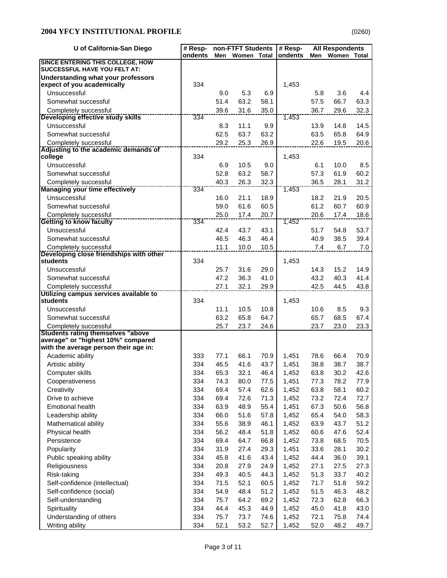| U of California-San Diego                                        | # Resp-    |              | non-FTFT Students |              | # Resp-        |              | <b>All Respondents</b> |              |
|------------------------------------------------------------------|------------|--------------|-------------------|--------------|----------------|--------------|------------------------|--------------|
|                                                                  | ondents    | Men          | Women Total       |              | ondents        | Men          | Women Total            |              |
| SINCE ENTERING THIS COLLEGE, HOW<br>SUCCESSFUL HAVE YOU FELT AT: |            |              |                   |              |                |              |                        |              |
| Understanding what your professors                               |            |              |                   |              |                |              |                        |              |
| expect of you academically                                       | 334        |              |                   |              | 1,453          |              |                        |              |
| Unsuccessful                                                     |            | 9.0          | 5.3               | 6.9          |                | 5.8          | 3.6                    | 4.4          |
| Somewhat successful                                              |            | 51.4         | 63.2              | 58.1         |                | 57.5         | 66.7                   | 63.3         |
| Completely successful                                            | 334        | 39.6         | 31.6              | 35.0         | 1,453          | 36.7         | 29.6                   | 32.3         |
| Developing effective study skills<br>Unsuccessful                |            | 8.3          | 11.1              | 9.9          |                | 13.9         | 14.8                   | 14.5         |
| Somewhat successful                                              |            | 62.5         | 63.7              | 63.2         |                | 63.5         | 65.8                   | 64.9         |
| Completely successful                                            |            | 29.2         | 25.3              | 26.9         |                | 22.6         | 19.5                   | 20.6         |
| Adjusting to the academic demands of                             |            |              |                   |              |                |              |                        |              |
| college                                                          | 334        |              |                   |              | 1,453          |              |                        |              |
| Unsuccessful                                                     |            | 6.9          | 10.5              | 9.0          |                | 6.1          | 10.0                   | 8.5          |
| Somewhat successful                                              |            | 52.8         | 63.2              | 58.7         |                | 57.3         | 61.9                   | 60.2         |
| Completely successful                                            |            | 40.3         | 26.3              | 32.3         |                | 36.5         | 28.1                   | 31.2         |
| <b>Managing your time effectively</b>                            | 334        |              |                   |              | 1,453          |              |                        |              |
| Unsuccessful                                                     |            | 16.0         | 21.1              | 18.9         |                | 18.2         | 21.9                   | 20.5         |
| Somewhat successful                                              |            | 59.0         | 61.6              | 60.5         |                | 61.2         | 60.7                   | 60.9         |
| Completely successful<br><b>Getting to know faculty</b>          | 334        | 25.0         | 17.4              | 20.7         | 1,452          | 20.6         | 17.4                   | 18.6         |
| Unsuccessful                                                     |            | 42.4         | 43.7              | 43.1         |                | 51.7         | 54.8                   | 53.7         |
| Somewhat successful                                              |            | 46.5         | 46.3              | 46.4         |                | 40.9         | 38.5                   | 39.4         |
| Completely successful                                            |            | 11.1         | 10.0              | 10.5         |                | 7.4          | 6.7                    | 7.0          |
| Developing close friendships with other                          |            |              |                   |              |                |              |                        |              |
| students                                                         | 334        |              |                   |              | 1,453          |              |                        |              |
| Unsuccessful                                                     |            | 25.7         | 31.6              | 29.0         |                | 14.3         | 15.2                   | 14.9         |
| Somewhat successful                                              |            | 47.2         | 36.3              | 41.0         |                | 43.2         | 40.3                   | 41.4         |
| Completely successful                                            |            | 27.1         | 32.1              | 29.9         |                | 42.5         | 44.5                   | 43.8         |
| Utilizing campus services available to<br>students               | 334        |              |                   |              | 1,453          |              |                        |              |
| Unsuccessful                                                     |            | 11.1         | 10.5              | 10.8         |                | 10.6         | 8.5                    | 9.3          |
| Somewhat successful                                              |            | 63.2         | 65.8              | 64.7         |                | 65.7         | 68.5                   | 67.4         |
| Completely successful                                            |            | 25.7         | 23.7              | 24.6         |                | 23.7         | 23.0                   | 23.3         |
| <b>Students rating themselves "above</b>                         |            |              |                   |              |                |              |                        |              |
| average" or "highest 10%" compared                               |            |              |                   |              |                |              |                        |              |
| with the average person their age in:                            |            |              |                   |              |                |              |                        |              |
| Academic ability                                                 | 333        | 77.1         | 66.1              | 70.9         | 1,451          | 78.6         | 66.4                   | 70.9         |
| Artistic ability                                                 | 334        | 46.5         | 41.6              | 43.7         | 1,451          | 38.8         | 38.7                   | 38.7         |
| Computer skills                                                  | 334        | 65.3         | 32.1              | 46.4         | 1,452          | 63.8         | 30.2                   | 42.6         |
| Cooperativeness<br>Creativity                                    | 334<br>334 | 74.3<br>69.4 | 80.0<br>57.4      | 77.5<br>62.6 | 1,451<br>1,452 | 77.3<br>63.8 | 78.2<br>58.1           | 77.9<br>60.2 |
| Drive to achieve                                                 | 334        | 69.4         | 72.6              | 71.3         | 1,452          | 73.2         | 72.4                   | 72.7         |
| <b>Emotional health</b>                                          | 334        | 63.9         | 48.9              | 55.4         | 1,451          | 67.3         | 50.6                   | 56.8         |
| Leadership ability                                               | 334        | 66.0         | 51.6              | 57.8         | 1,452          | 65.4         | 54.0                   | 58.3         |
| Mathematical ability                                             | 334        | 55.6         | 38.9              | 46.1         | 1,452          | 63.9         | 43.7                   | 51.2         |
| Physical health                                                  | 334        | 56.2         | 48.4              | 51.8         | 1,452          | 60.6         | 47.6                   | 52.4         |
| Persistence                                                      | 334        | 69.4         | 64.7              | 66.8         | 1,452          | 73.8         | 68.5                   | 70.5         |
| Popularity                                                       | 334        | 31.9         | 27.4              | 29.3         | 1,451          | 33.6         | 28.1                   | 30.2         |
| Public speaking ability                                          | 334        | 45.8         | 41.6              | 43.4         | 1,452          | 44.4         | 36.0                   | 39.1         |
| Religiousness                                                    | 334        | 20.8         | 27.9              | 24.9         | 1,452          | 27.1         | 27.5                   | 27.3         |
| Risk-taking                                                      | 334        | 49.3         | 40.5              | 44.3         | 1,452          | 51.3         | 33.7                   | 40.2         |
| Self-confidence (intellectual)                                   | 334        | 71.5         | 52.1              | 60.5         | 1,452          | 71.7         | 51.8                   | 59.2         |
| Self-confidence (social)                                         | 334        | 54.9         | 48.4              | 51.2         | 1,452          | 51.5         | 46.3                   | 48.2         |
| Self-understanding                                               | 334        | 75.7         | 64.2              | 69.2         | 1,452          | 72.3         | 62.8                   | 66.3         |
| Spirituality                                                     | 334        | 44.4         | 45.3              | 44.9         | 1,452          | 45.0         | 41.8                   | 43.0         |
| Understanding of others                                          | 334        | 75.7         | 73.7              | 74.6         | 1,452          | 72.1         | 75.8                   | 74.4         |
| Writing ability                                                  | 334        | 52.1         | 53.2              | 52.7         | 1,452          | 52.0         | 48.2                   | 49.7         |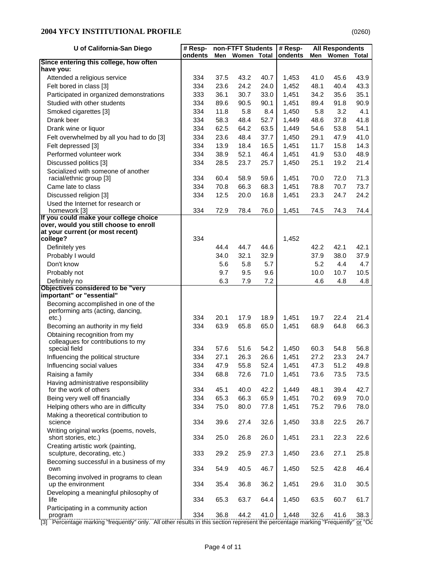| U of California-San Diego                                           | # Resp- |      | non-FTFT Students |      | # Resp- |      | <b>All Respondents</b> |       |
|---------------------------------------------------------------------|---------|------|-------------------|------|---------|------|------------------------|-------|
|                                                                     | ondents | Men  | Women Total       |      | ondents | Men  | Women                  | Total |
| Since entering this college, how often<br>have you:                 |         |      |                   |      |         |      |                        |       |
| Attended a religious service                                        | 334     | 37.5 | 43.2              | 40.7 | 1,453   | 41.0 | 45.6                   | 43.9  |
| Felt bored in class [3]                                             | 334     | 23.6 | 24.2              | 24.0 | 1,452   | 48.1 | 40.4                   | 43.3  |
| Participated in organized demonstrations                            | 333     | 36.1 | 30.7              | 33.0 | 1,451   | 34.2 | 35.6                   | 35.1  |
| Studied with other students                                         | 334     | 89.6 | 90.5              | 90.1 | 1,451   | 89.4 | 91.8                   | 90.9  |
| Smoked cigarettes [3]                                               | 334     | 11.8 | 5.8               | 8.4  | 1,450   | 5.8  | 3.2                    | 4.1   |
| Drank beer                                                          | 334     | 58.3 | 48.4              | 52.7 | 1,449   | 48.6 | 37.8                   | 41.8  |
| Drank wine or liquor                                                | 334     | 62.5 | 64.2              | 63.5 | 1,449   | 54.6 | 53.8                   | 54.1  |
| Felt overwhelmed by all you had to do [3]                           | 334     | 23.6 | 48.4              | 37.7 | 1,450   | 29.1 | 47.9                   | 41.0  |
| Felt depressed [3]                                                  | 334     | 13.9 | 18.4              | 16.5 | 1,451   | 11.7 | 15.8                   | 14.3  |
| Performed volunteer work                                            | 334     | 38.9 | 52.1              | 46.4 | 1,451   | 41.9 | 53.0                   | 48.9  |
| Discussed politics [3]                                              | 334     | 28.5 | 23.7              | 25.7 | 1,450   | 25.1 | 19.2                   | 21.4  |
| Socialized with someone of another                                  |         |      |                   |      |         |      |                        |       |
| racial/ethnic group [3]                                             | 334     | 60.4 | 58.9              | 59.6 | 1,451   | 70.0 | 72.0                   | 71.3  |
| Came late to class                                                  | 334     | 70.8 | 66.3              | 68.3 | 1,451   | 78.8 | 70.7                   | 73.7  |
| Discussed religion [3]                                              | 334     | 12.5 | 20.0              | 16.8 | 1,451   | 23.3 | 24.7                   | 24.2  |
| Used the Internet for research or                                   |         |      |                   |      |         |      |                        |       |
| homework [3]<br>If you could make your college choice               | 334     | 72.9 | 78.4              | 76.0 | 1,451   | 74.5 | 74.3                   | 74.4  |
| over, would you still choose to enroll                              |         |      |                   |      |         |      |                        |       |
| at your current (or most recent)                                    |         |      |                   |      |         |      |                        |       |
| college?                                                            | 334     |      |                   |      | 1,452   |      |                        |       |
| Definitely yes                                                      |         | 44.4 | 44.7              | 44.6 |         | 42.2 | 42.1                   | 42.1  |
| Probably I would                                                    |         | 34.0 | 32.1              | 32.9 |         | 37.9 | 38.0                   | 37.9  |
| Don't know                                                          |         | 5.6  | 5.8               | 5.7  |         | 5.2  | 4.4                    | 4.7   |
| Probably not                                                        |         | 9.7  | 9.5               | 9.6  |         | 10.0 | 10.7                   | 10.5  |
| Definitely no<br>Objectives considered to be "very                  |         | 6.3  | 7.9               | 7.2  |         | 4.6  | 4.8                    | 4.8   |
| important" or "essential"                                           |         |      |                   |      |         |      |                        |       |
| Becoming accomplished in one of the                                 |         |      |                   |      |         |      |                        |       |
| performing arts (acting, dancing,                                   |         |      |                   |      |         |      |                        |       |
| etc.)                                                               | 334     | 20.1 | 17.9              | 18.9 | 1,451   | 19.7 | 22.4                   | 21.4  |
| Becoming an authority in my field                                   | 334     | 63.9 | 65.8              | 65.0 | 1,451   | 68.9 | 64.8                   | 66.3  |
| Obtaining recognition from my<br>colleagues for contributions to my |         |      |                   |      |         |      |                        |       |
| special field                                                       | 334     | 57.6 | 51.6              | 54.2 | 1,450   | 60.3 | 54.8                   | 56.8  |
| Influencing the political structure                                 | 334     | 27.1 | 26.3              | 26.6 | 1,451   | 27.2 | 23.3                   | 24.7  |
| Influencing social values                                           | 334     | 47.9 | 55.8              | 52.4 | 1,451   | 47.3 | 51.2                   | 49.8  |
| Raising a family                                                    | 334     | 68.8 | 72.6              | 71.0 | 1,451   | 73.6 | 73.5                   | 73.5  |
| Having administrative responsibility                                |         |      |                   |      |         |      |                        |       |
| for the work of others                                              | 334     | 45.1 | 40.0              | 42.2 | 1,449   | 48.1 | 39.4                   | 42.7  |
| Being very well off financially                                     | 334     | 65.3 | 66.3              | 65.9 | 1,451   | 70.2 | 69.9                   | 70.0  |
| Helping others who are in difficulty                                | 334     | 75.0 | 80.0              | 77.8 | 1,451   | 75.2 | 79.6                   | 78.0  |
| Making a theoretical contribution to                                |         |      |                   |      |         |      |                        |       |
| science<br>Writing original works (poems, novels,                   | 334     | 39.6 | 27.4              | 32.6 | 1,450   | 33.8 | 22.5                   | 26.7  |
| short stories, etc.)                                                | 334     | 25.0 | 26.8              | 26.0 | 1,451   | 23.1 | 22.3                   | 22.6  |
| Creating artistic work (painting,                                   |         |      |                   |      |         |      |                        |       |
| sculpture, decorating, etc.)                                        | 333     | 29.2 | 25.9              | 27.3 | 1,450   | 23.6 | 27.1                   | 25.8  |
| Becoming successful in a business of my                             |         |      |                   |      |         |      |                        |       |
| own                                                                 | 334     | 54.9 | 40.5              | 46.7 | 1,450   | 52.5 | 42.8                   | 46.4  |
| Becoming involved in programs to clean                              |         |      |                   |      |         |      |                        |       |
| up the environment                                                  | 334     | 35.4 | 36.8              | 36.2 | 1,451   | 29.6 | 31.0                   | 30.5  |
| Developing a meaningful philosophy of<br>life                       | 334     | 65.3 | 63.7              | 64.4 | 1,450   | 63.5 | 60.7                   | 61.7  |
| Participating in a community action                                 |         |      |                   |      |         |      |                        |       |
| program                                                             | 334     | 36.8 | 44.2              | 41.0 | 1,448   | 32.6 | 41.6                   | 38.3  |

[3] Percentage marking "frequently" only. All other results in this section represent the percentage marking "Frequently" or "Oc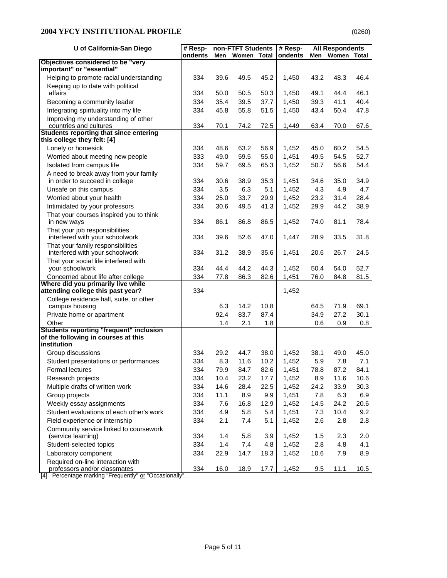| U of California-San Diego                                                | # Resp- |      | non-FTFT Students |      | $#$ Resp- |      | <b>All Respondents</b> |       |
|--------------------------------------------------------------------------|---------|------|-------------------|------|-----------|------|------------------------|-------|
|                                                                          | ondents |      | Men Women Total   |      | ondents   | Men  | Women                  | Total |
| Objectives considered to be "very<br>important" or "essential"           |         |      |                   |      |           |      |                        |       |
| Helping to promote racial understanding                                  | 334     | 39.6 | 49.5              | 45.2 | 1,450     | 43.2 | 48.3                   | 46.4  |
| Keeping up to date with political                                        |         |      |                   |      |           |      |                        |       |
| affairs                                                                  | 334     | 50.0 | 50.5              | 50.3 | 1,450     | 49.1 | 44.4                   | 46.1  |
| Becoming a community leader                                              | 334     | 35.4 | 39.5              | 37.7 | 1,450     | 39.3 | 41.1                   | 40.4  |
| Integrating spirituality into my life                                    | 334     | 45.8 | 55.8              | 51.5 | 1,450     | 43.4 | 50.4                   | 47.8  |
| Improving my understanding of other<br>countries and cultures            | 334     | 70.1 | 74.2              | 72.5 | 1,449     | 63.4 | 70.0                   | 67.6  |
| <b>Students reporting that since entering</b>                            |         |      |                   |      |           |      |                        |       |
| this college they felt: [4]                                              |         |      |                   |      |           |      |                        |       |
| Lonely or homesick                                                       | 334     | 48.6 | 63.2              | 56.9 | 1,452     | 45.0 | 60.2                   | 54.5  |
| Worried about meeting new people                                         | 333     | 49.0 | 59.5              | 55.0 | 1,451     | 49.5 | 54.5                   | 52.7  |
| Isolated from campus life                                                | 334     | 59.7 | 69.5              | 65.3 | 1,452     | 50.7 | 56.6                   | 54.4  |
| A need to break away from your family                                    |         |      |                   |      |           |      |                        |       |
| in order to succeed in college                                           | 334     | 30.6 | 38.9              | 35.3 | 1,451     | 34.6 | 35.0                   | 34.9  |
| Unsafe on this campus                                                    | 334     | 3.5  | 6.3               | 5.1  | 1,452     | 4.3  | 4.9                    | 4.7   |
| Worried about your health                                                | 334     | 25.0 | 33.7              | 29.9 | 1,452     | 23.2 | 31.4                   | 28.4  |
| Intimidated by your professors                                           | 334     | 30.6 | 49.5              | 41.3 | 1,452     | 29.9 | 44.2                   | 38.9  |
| That your courses inspired you to think                                  |         |      |                   |      |           |      |                        |       |
| in new ways                                                              | 334     | 86.1 | 86.8              | 86.5 | 1,452     | 74.0 | 81.1                   | 78.4  |
| That your job responsibilities                                           |         |      |                   |      |           |      |                        |       |
| interfered with your schoolwork                                          | 334     | 39.6 | 52.6              | 47.0 | 1,447     | 28.9 | 33.5                   | 31.8  |
| That your family responsibilities                                        |         |      |                   |      |           |      |                        |       |
| interfered with your schoolwork                                          | 334     | 31.2 | 38.9              | 35.6 | 1,451     | 20.6 | 26.7                   | 24.5  |
| That your social life interfered with                                    |         |      |                   |      |           |      |                        |       |
| your schoolwork                                                          | 334     | 44.4 | 44.2              | 44.3 | 1,452     | 50.4 | 54.0                   | 52.7  |
| Concerned about life after college<br>Where did you primarily live while | 334     | 77.8 | 86.3              | 82.6 | 1,451     | 76.0 | 84.8                   | 81.5  |
| attending college this past year?                                        | 334     |      |                   |      | 1,452     |      |                        |       |
| College residence hall, suite, or other                                  |         |      |                   |      |           |      |                        |       |
| campus housing                                                           |         | 6.3  | 14.2              | 10.8 |           | 64.5 | 71.9                   | 69.1  |
| Private home or apartment                                                |         | 92.4 | 83.7              | 87.4 |           | 34.9 | 27.2                   | 30.1  |
| Other                                                                    |         | 1.4  | 2.1               | 1.8  |           | 0.6  | 0.9                    | 0.8   |
| <b>Students reporting "frequent" inclusion</b>                           |         |      |                   |      |           |      |                        |       |
| of the following in courses at this                                      |         |      |                   |      |           |      |                        |       |
| institution                                                              |         |      |                   |      |           |      |                        |       |
| Group discussions                                                        | 334     | 29.2 | 44.7              | 38.0 | 1,452     | 38.1 | 49.0                   | 45.0  |
| Student presentations or performances                                    | 334     | 8.3  | 11.6              | 10.2 | 1,452     | 5.9  | 7.8                    | 7.1   |
| Formal lectures                                                          | 334     | 79.9 | 84.7              | 82.6 | 1,451     | 78.8 | 87.2                   | 84.1  |
| Research projects                                                        | 334     | 10.4 | 23.2              | 17.7 | 1,452     | 8.9  | 11.6                   | 10.6  |
| Multiple drafts of written work                                          | 334     | 14.6 | 28.4              | 22.5 | 1,452     | 24.2 | 33.9                   | 30.3  |
| Group projects                                                           | 334     | 11.1 | 8.9               | 9.9  | 1,451     | 7.8  | 6.3                    | 6.9   |
| Weekly essay assignments                                                 | 334     | 7.6  | 16.8              | 12.9 | 1,452     | 14.5 | 24.2                   | 20.6  |
| Student evaluations of each other's work                                 | 334     | 4.9  | 5.8               | 5.4  | 1,451     | 7.3  | 10.4                   | 9.2   |
| Field experience or internship                                           | 334     | 2.1  | 7.4               | 5.1  | 1,452     | 2.6  | 2.8                    | 2.8   |
| Community service linked to coursework                                   |         |      |                   |      |           |      |                        |       |
| (service learning)                                                       | 334     | 1.4  | 5.8               | 3.9  | 1,452     | 1.5  | 2.3                    | 2.0   |
| Student-selected topics                                                  | 334     | 1.4  | 7.4               | 4.8  | 1,452     | 2.8  | 4.8                    | 4.1   |
| Laboratory component                                                     | 334     | 22.9 | 14.7              | 18.3 | 1,452     | 10.6 | 7.9                    | 8.9   |
| Required on-line interaction with                                        |         |      |                   |      |           |      |                        |       |
| professors and/or classmates                                             | 334     | 16.0 | 18.9              | 17.7 | 1,452     | 9.5  | 11.1                   | 10.5  |

[4] Percentage marking "Frequently" or "Occasionally".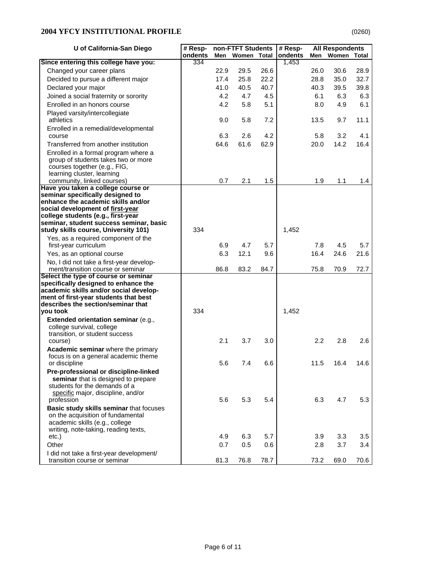# **2004 YFCY INSTITUTIONAL PROFILE**

|--|

| U of California-San Diego                                                                                                                                                                                                                                | # Resp- |      | non-FTFT Students |      | # Resp- |                  | <b>All Respondents</b> |       |
|----------------------------------------------------------------------------------------------------------------------------------------------------------------------------------------------------------------------------------------------------------|---------|------|-------------------|------|---------|------------------|------------------------|-------|
|                                                                                                                                                                                                                                                          | ondents | Men  | Women Total       |      | ondents | Men              | Women                  | Total |
| Since entering this college have you:                                                                                                                                                                                                                    | 334     |      |                   |      | 1,453   |                  |                        |       |
| Changed your career plans                                                                                                                                                                                                                                |         | 22.9 | 29.5              | 26.6 |         | 26.0             | 30.6                   | 28.9  |
| Decided to pursue a different major                                                                                                                                                                                                                      |         | 17.4 | 25.8              | 22.2 |         | 28.8             | 35.0                   | 32.7  |
| Declared your major                                                                                                                                                                                                                                      |         | 41.0 | 40.5              | 40.7 |         | 40.3             | 39.5                   | 39.8  |
| Joined a social fraternity or sorority                                                                                                                                                                                                                   |         | 4.2  | 4.7               | 4.5  |         | 6.1              | 6.3                    | 6.3   |
| Enrolled in an honors course                                                                                                                                                                                                                             |         | 4.2  | 5.8               | 5.1  |         | 8.0              | 4.9                    | 6.1   |
| Played varsity/intercollegiate<br>athletics                                                                                                                                                                                                              |         | 9.0  | 5.8               | 7.2  |         | 13.5             | 9.7                    | 11.1  |
| Enrolled in a remedial/developmental<br>course                                                                                                                                                                                                           |         | 6.3  | 2.6               | 4.2  |         | 5.8              | 3.2                    | 4.1   |
| Transferred from another institution                                                                                                                                                                                                                     |         | 64.6 | 61.6              | 62.9 |         | 20.0             | 14.2                   | 16.4  |
| Enrolled in a formal program where a<br>group of students takes two or more<br>courses together (e.g., FIG,<br>learning cluster, learning                                                                                                                |         |      |                   |      |         |                  |                        |       |
| community, linked courses)                                                                                                                                                                                                                               |         | 0.7  | 2.1               | 1.5  |         | 1.9              | 1.1                    | 1.4   |
| Have you taken a college course or<br>seminar specifically designed to<br>enhance the academic skills and/or<br>social development of first-year<br>college students (e.g., first-year<br>seminar, student success seminar, basic                        |         |      |                   |      |         |                  |                        |       |
| study skills course, University 101)                                                                                                                                                                                                                     | 334     |      |                   |      | 1,452   |                  |                        |       |
| Yes, as a required component of the                                                                                                                                                                                                                      |         |      |                   |      |         |                  |                        |       |
| first-year curriculum                                                                                                                                                                                                                                    |         | 6.9  | 4.7               | 5.7  |         | 7.8              | 4.5                    | 5.7   |
| Yes, as an optional course                                                                                                                                                                                                                               |         | 6.3  | 12.1              | 9.6  |         | 16.4             | 24.6                   | 21.6  |
| No, I did not take a first-year develop-<br>ment/transition course or seminar                                                                                                                                                                            |         | 86.8 | 83.2              | 84.7 |         | 75.8             | 70.9                   | 72.7  |
| Select the type of course or seminar<br>specifically designed to enhance the<br>academic skills and/or social develop-<br>ment of first-year students that best<br>describes the section/seminar that<br>you took<br>Extended orientation seminar (e.g., | 334     |      |                   |      | 1,452   |                  |                        |       |
| college survival, college<br>transition, or student success                                                                                                                                                                                              |         |      |                   |      |         |                  |                        |       |
| course)                                                                                                                                                                                                                                                  |         | 2.1  | 3.7               | 3.0  |         | $2.2\phantom{0}$ | 2.8                    | 2.6   |
| Academic seminar where the primary<br>focus is on a general academic theme<br>or discipline                                                                                                                                                              |         | 5.6  | 7.4               | 6.6  |         | 11.5             | 16.4                   | 14.6  |
| Pre-professional or discipline-linked<br>seminar that is designed to prepare<br>students for the demands of a<br>specific major, discipline, and/or<br>profession                                                                                        |         | 5.6  | 5.3               | 5.4  |         | 6.3              | 4.7                    | 5.3   |
| Basic study skills seminar that focuses<br>on the acquisition of fundamental<br>academic skills (e.g., college<br>writing, note-taking, reading texts,                                                                                                   |         |      |                   |      |         |                  |                        |       |
| etc.)                                                                                                                                                                                                                                                    |         | 4.9  | 6.3               | 5.7  |         | 3.9              | 3.3                    | 3.5   |
| Other                                                                                                                                                                                                                                                    |         | 0.7  | 0.5               | 0.6  |         | 2.8              | 3.7                    | 3.4   |
| I did not take a first-year development/<br>transition course or seminar                                                                                                                                                                                 |         | 81.3 | 76.8              | 78.7 |         | 73.2             | 69.0                   | 70.6  |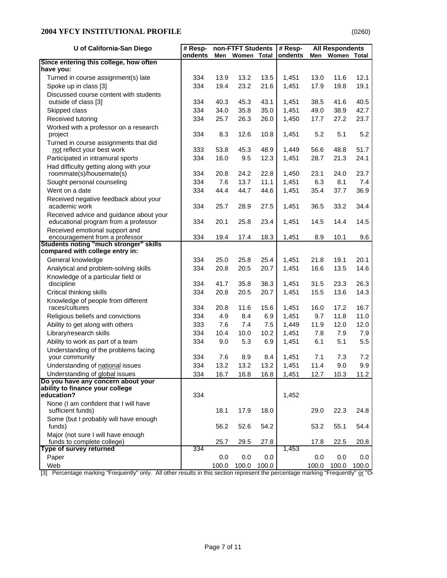| ondents<br>ondents<br>Women<br>Men<br>Women<br><b>Total</b><br>Men<br>Total<br>have you:<br>Turned in course assignment(s) late<br>13.9<br>13.2<br>13.5<br>1,451<br>13.0<br>11.6<br>12.1<br>334<br>Spoke up in class [3]<br>334<br>19.4<br>23.2<br>21.6<br>1,451<br>17.9<br>19.8<br>19.1<br>Discussed course content with students<br>40.3<br>45.3<br>43.1<br>1,451<br>38.5<br>40.5<br>334<br>41.6<br>outside of class [3]<br>334<br>34.0<br>35.8<br>35.0<br>1,451<br>49.0<br>38.9<br>42.7<br>Skipped class<br>Received tutoring<br>334<br>25.7<br>26.3<br>26.0<br>1,450<br>27.2<br>23.7<br>17.7<br>Worked with a professor on a research<br>5.2<br>8.3<br>12.6<br>10.8<br>5.2<br>5.1<br>334<br>1,451<br>project<br>Turned in course assignments that did<br>not reflect your best work<br>333<br>53.8<br>45.3<br>48.9<br>1,449<br>56.6<br>48.8<br>51.7<br>Participated in intramural sports<br>334<br>16.0<br>9.5<br>12.3<br>1,451<br>28.7<br>21.3<br>24.1<br>Had difficulty getting along with your<br>22.8<br>1,450<br>23.1<br>23.7<br>roommate(s)/housemate(s)<br>334<br>20.8<br>24.2<br>24.0<br>Sought personal counseling<br>334<br>7.6<br>13.7<br>11.1<br>1,451<br>6.3<br>8.1<br>7.4<br>44.7<br>36.9<br>Went on a date<br>334<br>44.4<br>44.6<br>1,451<br>35.4<br>37.7<br>Received negative feedback about your<br>academic work<br>36.5<br>34.4<br>334<br>25.7<br>28.9<br>27.5<br>1,451<br>33.2<br>Received advice and guidance about your<br>educational program from a professor<br>20.1<br>25.8<br>14.5<br>334<br>23.4<br>1,451<br>14.5<br>14.4<br>Received emotional support and<br>18.3<br>9.6<br>encouragement from a professor<br>334<br>19.4<br>17.4<br>1,451<br>8.9<br>10.1<br><b>Students noting "much stronger" skills</b><br>compared with college entry in:<br>General knowledge<br>334<br>25.0<br>25.8<br>25.4<br>1,451<br>21.8<br>19.1<br>20.1<br>Analytical and problem-solving skills<br>334<br>20.8<br>20.5<br>20.7<br>1,451<br>16.6<br>13.5<br>14.6<br>Knowledge of a particular field or<br>41.7<br>35.8<br>38.3<br>1,451<br>31.5<br>23.3<br>26.3<br>discipline<br>334<br>334<br>20.8<br>20.5<br>20.7<br>1,451<br>15.5<br>13.6<br>14.3<br>Critical thinking skills<br>Knowledge of people from different<br>races/cultures<br>334<br>20.8<br>11.6<br>15.6<br>1,451<br>16.0<br>16.7<br>17.2<br>Religious beliefs and convictions<br>334<br>4.9<br>8.4<br>6.9<br>1,451<br>9.7<br>11.8<br>11.0<br>12.0<br>Ability to get along with others<br>333<br>7.4<br>7.5<br>1,449<br>11.9<br>12.0<br>7.6<br>7.9<br>Library/research skills<br>334<br>10.4<br>10.0<br>10.2<br>1,451<br>7.8<br>7.9<br>5.5<br>Ability to work as part of a team<br>334<br>9.0<br>5.3<br>6.9<br>6.1<br>5.1<br>1,451<br>Understanding of the problems facing<br>your community<br>7.2<br>334<br>7.6<br>8.9<br>8.4<br>1,451<br>7.1<br>7.3<br>Understanding of national issues<br>334<br>13.2<br>13.2<br>9.9<br>13.2<br>1,451<br>11.4<br>9.0 | U of California-San Diego              | $#$ Resp- | non-FTFT Students |      | $\overline{\#}$ Resp-<br><b>All Respondents</b> |       |      |      |      |
|---------------------------------------------------------------------------------------------------------------------------------------------------------------------------------------------------------------------------------------------------------------------------------------------------------------------------------------------------------------------------------------------------------------------------------------------------------------------------------------------------------------------------------------------------------------------------------------------------------------------------------------------------------------------------------------------------------------------------------------------------------------------------------------------------------------------------------------------------------------------------------------------------------------------------------------------------------------------------------------------------------------------------------------------------------------------------------------------------------------------------------------------------------------------------------------------------------------------------------------------------------------------------------------------------------------------------------------------------------------------------------------------------------------------------------------------------------------------------------------------------------------------------------------------------------------------------------------------------------------------------------------------------------------------------------------------------------------------------------------------------------------------------------------------------------------------------------------------------------------------------------------------------------------------------------------------------------------------------------------------------------------------------------------------------------------------------------------------------------------------------------------------------------------------------------------------------------------------------------------------------------------------------------------------------------------------------------------------------------------------------------------------------------------------------------------------------------------------------------------------------------------------------------------------------------------------------------------------------------------------------------------------------------------------------------------------------------------------------------------------------------------------------------------------------------------------------------------------------------------------------------------------------------------------------------------|----------------------------------------|-----------|-------------------|------|-------------------------------------------------|-------|------|------|------|
|                                                                                                                                                                                                                                                                                                                                                                                                                                                                                                                                                                                                                                                                                                                                                                                                                                                                                                                                                                                                                                                                                                                                                                                                                                                                                                                                                                                                                                                                                                                                                                                                                                                                                                                                                                                                                                                                                                                                                                                                                                                                                                                                                                                                                                                                                                                                                                                                                                                                                                                                                                                                                                                                                                                                                                                                                                                                                                                                       |                                        |           |                   |      |                                                 |       |      |      |      |
|                                                                                                                                                                                                                                                                                                                                                                                                                                                                                                                                                                                                                                                                                                                                                                                                                                                                                                                                                                                                                                                                                                                                                                                                                                                                                                                                                                                                                                                                                                                                                                                                                                                                                                                                                                                                                                                                                                                                                                                                                                                                                                                                                                                                                                                                                                                                                                                                                                                                                                                                                                                                                                                                                                                                                                                                                                                                                                                                       | Since entering this college, how often |           |                   |      |                                                 |       |      |      |      |
|                                                                                                                                                                                                                                                                                                                                                                                                                                                                                                                                                                                                                                                                                                                                                                                                                                                                                                                                                                                                                                                                                                                                                                                                                                                                                                                                                                                                                                                                                                                                                                                                                                                                                                                                                                                                                                                                                                                                                                                                                                                                                                                                                                                                                                                                                                                                                                                                                                                                                                                                                                                                                                                                                                                                                                                                                                                                                                                                       |                                        |           |                   |      |                                                 |       |      |      |      |
|                                                                                                                                                                                                                                                                                                                                                                                                                                                                                                                                                                                                                                                                                                                                                                                                                                                                                                                                                                                                                                                                                                                                                                                                                                                                                                                                                                                                                                                                                                                                                                                                                                                                                                                                                                                                                                                                                                                                                                                                                                                                                                                                                                                                                                                                                                                                                                                                                                                                                                                                                                                                                                                                                                                                                                                                                                                                                                                                       |                                        |           |                   |      |                                                 |       |      |      |      |
|                                                                                                                                                                                                                                                                                                                                                                                                                                                                                                                                                                                                                                                                                                                                                                                                                                                                                                                                                                                                                                                                                                                                                                                                                                                                                                                                                                                                                                                                                                                                                                                                                                                                                                                                                                                                                                                                                                                                                                                                                                                                                                                                                                                                                                                                                                                                                                                                                                                                                                                                                                                                                                                                                                                                                                                                                                                                                                                                       |                                        |           |                   |      |                                                 |       |      |      |      |
|                                                                                                                                                                                                                                                                                                                                                                                                                                                                                                                                                                                                                                                                                                                                                                                                                                                                                                                                                                                                                                                                                                                                                                                                                                                                                                                                                                                                                                                                                                                                                                                                                                                                                                                                                                                                                                                                                                                                                                                                                                                                                                                                                                                                                                                                                                                                                                                                                                                                                                                                                                                                                                                                                                                                                                                                                                                                                                                                       |                                        |           |                   |      |                                                 |       |      |      |      |
|                                                                                                                                                                                                                                                                                                                                                                                                                                                                                                                                                                                                                                                                                                                                                                                                                                                                                                                                                                                                                                                                                                                                                                                                                                                                                                                                                                                                                                                                                                                                                                                                                                                                                                                                                                                                                                                                                                                                                                                                                                                                                                                                                                                                                                                                                                                                                                                                                                                                                                                                                                                                                                                                                                                                                                                                                                                                                                                                       |                                        |           |                   |      |                                                 |       |      |      |      |
|                                                                                                                                                                                                                                                                                                                                                                                                                                                                                                                                                                                                                                                                                                                                                                                                                                                                                                                                                                                                                                                                                                                                                                                                                                                                                                                                                                                                                                                                                                                                                                                                                                                                                                                                                                                                                                                                                                                                                                                                                                                                                                                                                                                                                                                                                                                                                                                                                                                                                                                                                                                                                                                                                                                                                                                                                                                                                                                                       |                                        |           |                   |      |                                                 |       |      |      |      |
|                                                                                                                                                                                                                                                                                                                                                                                                                                                                                                                                                                                                                                                                                                                                                                                                                                                                                                                                                                                                                                                                                                                                                                                                                                                                                                                                                                                                                                                                                                                                                                                                                                                                                                                                                                                                                                                                                                                                                                                                                                                                                                                                                                                                                                                                                                                                                                                                                                                                                                                                                                                                                                                                                                                                                                                                                                                                                                                                       |                                        |           |                   |      |                                                 |       |      |      |      |
|                                                                                                                                                                                                                                                                                                                                                                                                                                                                                                                                                                                                                                                                                                                                                                                                                                                                                                                                                                                                                                                                                                                                                                                                                                                                                                                                                                                                                                                                                                                                                                                                                                                                                                                                                                                                                                                                                                                                                                                                                                                                                                                                                                                                                                                                                                                                                                                                                                                                                                                                                                                                                                                                                                                                                                                                                                                                                                                                       |                                        |           |                   |      |                                                 |       |      |      |      |
|                                                                                                                                                                                                                                                                                                                                                                                                                                                                                                                                                                                                                                                                                                                                                                                                                                                                                                                                                                                                                                                                                                                                                                                                                                                                                                                                                                                                                                                                                                                                                                                                                                                                                                                                                                                                                                                                                                                                                                                                                                                                                                                                                                                                                                                                                                                                                                                                                                                                                                                                                                                                                                                                                                                                                                                                                                                                                                                                       |                                        |           |                   |      |                                                 |       |      |      |      |
|                                                                                                                                                                                                                                                                                                                                                                                                                                                                                                                                                                                                                                                                                                                                                                                                                                                                                                                                                                                                                                                                                                                                                                                                                                                                                                                                                                                                                                                                                                                                                                                                                                                                                                                                                                                                                                                                                                                                                                                                                                                                                                                                                                                                                                                                                                                                                                                                                                                                                                                                                                                                                                                                                                                                                                                                                                                                                                                                       |                                        |           |                   |      |                                                 |       |      |      |      |
|                                                                                                                                                                                                                                                                                                                                                                                                                                                                                                                                                                                                                                                                                                                                                                                                                                                                                                                                                                                                                                                                                                                                                                                                                                                                                                                                                                                                                                                                                                                                                                                                                                                                                                                                                                                                                                                                                                                                                                                                                                                                                                                                                                                                                                                                                                                                                                                                                                                                                                                                                                                                                                                                                                                                                                                                                                                                                                                                       |                                        |           |                   |      |                                                 |       |      |      |      |
|                                                                                                                                                                                                                                                                                                                                                                                                                                                                                                                                                                                                                                                                                                                                                                                                                                                                                                                                                                                                                                                                                                                                                                                                                                                                                                                                                                                                                                                                                                                                                                                                                                                                                                                                                                                                                                                                                                                                                                                                                                                                                                                                                                                                                                                                                                                                                                                                                                                                                                                                                                                                                                                                                                                                                                                                                                                                                                                                       |                                        |           |                   |      |                                                 |       |      |      |      |
|                                                                                                                                                                                                                                                                                                                                                                                                                                                                                                                                                                                                                                                                                                                                                                                                                                                                                                                                                                                                                                                                                                                                                                                                                                                                                                                                                                                                                                                                                                                                                                                                                                                                                                                                                                                                                                                                                                                                                                                                                                                                                                                                                                                                                                                                                                                                                                                                                                                                                                                                                                                                                                                                                                                                                                                                                                                                                                                                       |                                        |           |                   |      |                                                 |       |      |      |      |
|                                                                                                                                                                                                                                                                                                                                                                                                                                                                                                                                                                                                                                                                                                                                                                                                                                                                                                                                                                                                                                                                                                                                                                                                                                                                                                                                                                                                                                                                                                                                                                                                                                                                                                                                                                                                                                                                                                                                                                                                                                                                                                                                                                                                                                                                                                                                                                                                                                                                                                                                                                                                                                                                                                                                                                                                                                                                                                                                       |                                        |           |                   |      |                                                 |       |      |      |      |
|                                                                                                                                                                                                                                                                                                                                                                                                                                                                                                                                                                                                                                                                                                                                                                                                                                                                                                                                                                                                                                                                                                                                                                                                                                                                                                                                                                                                                                                                                                                                                                                                                                                                                                                                                                                                                                                                                                                                                                                                                                                                                                                                                                                                                                                                                                                                                                                                                                                                                                                                                                                                                                                                                                                                                                                                                                                                                                                                       |                                        |           |                   |      |                                                 |       |      |      |      |
|                                                                                                                                                                                                                                                                                                                                                                                                                                                                                                                                                                                                                                                                                                                                                                                                                                                                                                                                                                                                                                                                                                                                                                                                                                                                                                                                                                                                                                                                                                                                                                                                                                                                                                                                                                                                                                                                                                                                                                                                                                                                                                                                                                                                                                                                                                                                                                                                                                                                                                                                                                                                                                                                                                                                                                                                                                                                                                                                       |                                        |           |                   |      |                                                 |       |      |      |      |
|                                                                                                                                                                                                                                                                                                                                                                                                                                                                                                                                                                                                                                                                                                                                                                                                                                                                                                                                                                                                                                                                                                                                                                                                                                                                                                                                                                                                                                                                                                                                                                                                                                                                                                                                                                                                                                                                                                                                                                                                                                                                                                                                                                                                                                                                                                                                                                                                                                                                                                                                                                                                                                                                                                                                                                                                                                                                                                                                       |                                        |           |                   |      |                                                 |       |      |      |      |
|                                                                                                                                                                                                                                                                                                                                                                                                                                                                                                                                                                                                                                                                                                                                                                                                                                                                                                                                                                                                                                                                                                                                                                                                                                                                                                                                                                                                                                                                                                                                                                                                                                                                                                                                                                                                                                                                                                                                                                                                                                                                                                                                                                                                                                                                                                                                                                                                                                                                                                                                                                                                                                                                                                                                                                                                                                                                                                                                       |                                        |           |                   |      |                                                 |       |      |      |      |
|                                                                                                                                                                                                                                                                                                                                                                                                                                                                                                                                                                                                                                                                                                                                                                                                                                                                                                                                                                                                                                                                                                                                                                                                                                                                                                                                                                                                                                                                                                                                                                                                                                                                                                                                                                                                                                                                                                                                                                                                                                                                                                                                                                                                                                                                                                                                                                                                                                                                                                                                                                                                                                                                                                                                                                                                                                                                                                                                       |                                        |           |                   |      |                                                 |       |      |      |      |
|                                                                                                                                                                                                                                                                                                                                                                                                                                                                                                                                                                                                                                                                                                                                                                                                                                                                                                                                                                                                                                                                                                                                                                                                                                                                                                                                                                                                                                                                                                                                                                                                                                                                                                                                                                                                                                                                                                                                                                                                                                                                                                                                                                                                                                                                                                                                                                                                                                                                                                                                                                                                                                                                                                                                                                                                                                                                                                                                       |                                        |           |                   |      |                                                 |       |      |      |      |
|                                                                                                                                                                                                                                                                                                                                                                                                                                                                                                                                                                                                                                                                                                                                                                                                                                                                                                                                                                                                                                                                                                                                                                                                                                                                                                                                                                                                                                                                                                                                                                                                                                                                                                                                                                                                                                                                                                                                                                                                                                                                                                                                                                                                                                                                                                                                                                                                                                                                                                                                                                                                                                                                                                                                                                                                                                                                                                                                       |                                        |           |                   |      |                                                 |       |      |      |      |
|                                                                                                                                                                                                                                                                                                                                                                                                                                                                                                                                                                                                                                                                                                                                                                                                                                                                                                                                                                                                                                                                                                                                                                                                                                                                                                                                                                                                                                                                                                                                                                                                                                                                                                                                                                                                                                                                                                                                                                                                                                                                                                                                                                                                                                                                                                                                                                                                                                                                                                                                                                                                                                                                                                                                                                                                                                                                                                                                       |                                        |           |                   |      |                                                 |       |      |      |      |
|                                                                                                                                                                                                                                                                                                                                                                                                                                                                                                                                                                                                                                                                                                                                                                                                                                                                                                                                                                                                                                                                                                                                                                                                                                                                                                                                                                                                                                                                                                                                                                                                                                                                                                                                                                                                                                                                                                                                                                                                                                                                                                                                                                                                                                                                                                                                                                                                                                                                                                                                                                                                                                                                                                                                                                                                                                                                                                                                       |                                        |           |                   |      |                                                 |       |      |      |      |
|                                                                                                                                                                                                                                                                                                                                                                                                                                                                                                                                                                                                                                                                                                                                                                                                                                                                                                                                                                                                                                                                                                                                                                                                                                                                                                                                                                                                                                                                                                                                                                                                                                                                                                                                                                                                                                                                                                                                                                                                                                                                                                                                                                                                                                                                                                                                                                                                                                                                                                                                                                                                                                                                                                                                                                                                                                                                                                                                       |                                        |           |                   |      |                                                 |       |      |      |      |
|                                                                                                                                                                                                                                                                                                                                                                                                                                                                                                                                                                                                                                                                                                                                                                                                                                                                                                                                                                                                                                                                                                                                                                                                                                                                                                                                                                                                                                                                                                                                                                                                                                                                                                                                                                                                                                                                                                                                                                                                                                                                                                                                                                                                                                                                                                                                                                                                                                                                                                                                                                                                                                                                                                                                                                                                                                                                                                                                       |                                        |           |                   |      |                                                 |       |      |      |      |
|                                                                                                                                                                                                                                                                                                                                                                                                                                                                                                                                                                                                                                                                                                                                                                                                                                                                                                                                                                                                                                                                                                                                                                                                                                                                                                                                                                                                                                                                                                                                                                                                                                                                                                                                                                                                                                                                                                                                                                                                                                                                                                                                                                                                                                                                                                                                                                                                                                                                                                                                                                                                                                                                                                                                                                                                                                                                                                                                       |                                        |           |                   |      |                                                 |       |      |      |      |
|                                                                                                                                                                                                                                                                                                                                                                                                                                                                                                                                                                                                                                                                                                                                                                                                                                                                                                                                                                                                                                                                                                                                                                                                                                                                                                                                                                                                                                                                                                                                                                                                                                                                                                                                                                                                                                                                                                                                                                                                                                                                                                                                                                                                                                                                                                                                                                                                                                                                                                                                                                                                                                                                                                                                                                                                                                                                                                                                       |                                        |           |                   |      |                                                 |       |      |      |      |
|                                                                                                                                                                                                                                                                                                                                                                                                                                                                                                                                                                                                                                                                                                                                                                                                                                                                                                                                                                                                                                                                                                                                                                                                                                                                                                                                                                                                                                                                                                                                                                                                                                                                                                                                                                                                                                                                                                                                                                                                                                                                                                                                                                                                                                                                                                                                                                                                                                                                                                                                                                                                                                                                                                                                                                                                                                                                                                                                       |                                        |           |                   |      |                                                 |       |      |      |      |
|                                                                                                                                                                                                                                                                                                                                                                                                                                                                                                                                                                                                                                                                                                                                                                                                                                                                                                                                                                                                                                                                                                                                                                                                                                                                                                                                                                                                                                                                                                                                                                                                                                                                                                                                                                                                                                                                                                                                                                                                                                                                                                                                                                                                                                                                                                                                                                                                                                                                                                                                                                                                                                                                                                                                                                                                                                                                                                                                       |                                        |           |                   |      |                                                 |       |      |      |      |
|                                                                                                                                                                                                                                                                                                                                                                                                                                                                                                                                                                                                                                                                                                                                                                                                                                                                                                                                                                                                                                                                                                                                                                                                                                                                                                                                                                                                                                                                                                                                                                                                                                                                                                                                                                                                                                                                                                                                                                                                                                                                                                                                                                                                                                                                                                                                                                                                                                                                                                                                                                                                                                                                                                                                                                                                                                                                                                                                       |                                        |           |                   |      |                                                 |       |      |      |      |
|                                                                                                                                                                                                                                                                                                                                                                                                                                                                                                                                                                                                                                                                                                                                                                                                                                                                                                                                                                                                                                                                                                                                                                                                                                                                                                                                                                                                                                                                                                                                                                                                                                                                                                                                                                                                                                                                                                                                                                                                                                                                                                                                                                                                                                                                                                                                                                                                                                                                                                                                                                                                                                                                                                                                                                                                                                                                                                                                       |                                        |           |                   |      |                                                 |       |      |      |      |
|                                                                                                                                                                                                                                                                                                                                                                                                                                                                                                                                                                                                                                                                                                                                                                                                                                                                                                                                                                                                                                                                                                                                                                                                                                                                                                                                                                                                                                                                                                                                                                                                                                                                                                                                                                                                                                                                                                                                                                                                                                                                                                                                                                                                                                                                                                                                                                                                                                                                                                                                                                                                                                                                                                                                                                                                                                                                                                                                       |                                        |           |                   |      |                                                 |       |      |      |      |
|                                                                                                                                                                                                                                                                                                                                                                                                                                                                                                                                                                                                                                                                                                                                                                                                                                                                                                                                                                                                                                                                                                                                                                                                                                                                                                                                                                                                                                                                                                                                                                                                                                                                                                                                                                                                                                                                                                                                                                                                                                                                                                                                                                                                                                                                                                                                                                                                                                                                                                                                                                                                                                                                                                                                                                                                                                                                                                                                       |                                        |           |                   |      |                                                 |       |      |      |      |
|                                                                                                                                                                                                                                                                                                                                                                                                                                                                                                                                                                                                                                                                                                                                                                                                                                                                                                                                                                                                                                                                                                                                                                                                                                                                                                                                                                                                                                                                                                                                                                                                                                                                                                                                                                                                                                                                                                                                                                                                                                                                                                                                                                                                                                                                                                                                                                                                                                                                                                                                                                                                                                                                                                                                                                                                                                                                                                                                       |                                        |           |                   |      |                                                 |       |      |      |      |
|                                                                                                                                                                                                                                                                                                                                                                                                                                                                                                                                                                                                                                                                                                                                                                                                                                                                                                                                                                                                                                                                                                                                                                                                                                                                                                                                                                                                                                                                                                                                                                                                                                                                                                                                                                                                                                                                                                                                                                                                                                                                                                                                                                                                                                                                                                                                                                                                                                                                                                                                                                                                                                                                                                                                                                                                                                                                                                                                       |                                        |           |                   |      |                                                 |       |      |      |      |
|                                                                                                                                                                                                                                                                                                                                                                                                                                                                                                                                                                                                                                                                                                                                                                                                                                                                                                                                                                                                                                                                                                                                                                                                                                                                                                                                                                                                                                                                                                                                                                                                                                                                                                                                                                                                                                                                                                                                                                                                                                                                                                                                                                                                                                                                                                                                                                                                                                                                                                                                                                                                                                                                                                                                                                                                                                                                                                                                       | Understanding of global issues         | 334       | 16.7              | 16.8 | 16.8                                            | 1,451 | 12.7 | 10.3 | 11.2 |
| Do you have any concern about your                                                                                                                                                                                                                                                                                                                                                                                                                                                                                                                                                                                                                                                                                                                                                                                                                                                                                                                                                                                                                                                                                                                                                                                                                                                                                                                                                                                                                                                                                                                                                                                                                                                                                                                                                                                                                                                                                                                                                                                                                                                                                                                                                                                                                                                                                                                                                                                                                                                                                                                                                                                                                                                                                                                                                                                                                                                                                                    |                                        |           |                   |      |                                                 |       |      |      |      |
| ability to finance your college<br>334<br>education?<br>1,452                                                                                                                                                                                                                                                                                                                                                                                                                                                                                                                                                                                                                                                                                                                                                                                                                                                                                                                                                                                                                                                                                                                                                                                                                                                                                                                                                                                                                                                                                                                                                                                                                                                                                                                                                                                                                                                                                                                                                                                                                                                                                                                                                                                                                                                                                                                                                                                                                                                                                                                                                                                                                                                                                                                                                                                                                                                                         |                                        |           |                   |      |                                                 |       |      |      |      |
|                                                                                                                                                                                                                                                                                                                                                                                                                                                                                                                                                                                                                                                                                                                                                                                                                                                                                                                                                                                                                                                                                                                                                                                                                                                                                                                                                                                                                                                                                                                                                                                                                                                                                                                                                                                                                                                                                                                                                                                                                                                                                                                                                                                                                                                                                                                                                                                                                                                                                                                                                                                                                                                                                                                                                                                                                                                                                                                                       |                                        |           |                   |      |                                                 |       |      |      |      |
| None (I am confident that I will have<br>sufficient funds)<br>18.1<br>17.9<br>18.0<br>29.0<br>22.3<br>24.8                                                                                                                                                                                                                                                                                                                                                                                                                                                                                                                                                                                                                                                                                                                                                                                                                                                                                                                                                                                                                                                                                                                                                                                                                                                                                                                                                                                                                                                                                                                                                                                                                                                                                                                                                                                                                                                                                                                                                                                                                                                                                                                                                                                                                                                                                                                                                                                                                                                                                                                                                                                                                                                                                                                                                                                                                            |                                        |           |                   |      |                                                 |       |      |      |      |
| Some (but I probably will have enough                                                                                                                                                                                                                                                                                                                                                                                                                                                                                                                                                                                                                                                                                                                                                                                                                                                                                                                                                                                                                                                                                                                                                                                                                                                                                                                                                                                                                                                                                                                                                                                                                                                                                                                                                                                                                                                                                                                                                                                                                                                                                                                                                                                                                                                                                                                                                                                                                                                                                                                                                                                                                                                                                                                                                                                                                                                                                                 |                                        |           |                   |      |                                                 |       |      |      |      |
| funds)<br>56.2<br>52.6<br>54.2<br>53.2<br>55.1<br>54.4                                                                                                                                                                                                                                                                                                                                                                                                                                                                                                                                                                                                                                                                                                                                                                                                                                                                                                                                                                                                                                                                                                                                                                                                                                                                                                                                                                                                                                                                                                                                                                                                                                                                                                                                                                                                                                                                                                                                                                                                                                                                                                                                                                                                                                                                                                                                                                                                                                                                                                                                                                                                                                                                                                                                                                                                                                                                                |                                        |           |                   |      |                                                 |       |      |      |      |
| Major (not sure I will have enough                                                                                                                                                                                                                                                                                                                                                                                                                                                                                                                                                                                                                                                                                                                                                                                                                                                                                                                                                                                                                                                                                                                                                                                                                                                                                                                                                                                                                                                                                                                                                                                                                                                                                                                                                                                                                                                                                                                                                                                                                                                                                                                                                                                                                                                                                                                                                                                                                                                                                                                                                                                                                                                                                                                                                                                                                                                                                                    |                                        |           |                   |      |                                                 |       |      |      |      |
| funds to complete college)<br>25.7<br>29.5<br>27.8<br>17.8<br>22.5<br>20.8<br>334<br>1,453<br>Type of survey returned                                                                                                                                                                                                                                                                                                                                                                                                                                                                                                                                                                                                                                                                                                                                                                                                                                                                                                                                                                                                                                                                                                                                                                                                                                                                                                                                                                                                                                                                                                                                                                                                                                                                                                                                                                                                                                                                                                                                                                                                                                                                                                                                                                                                                                                                                                                                                                                                                                                                                                                                                                                                                                                                                                                                                                                                                 |                                        |           |                   |      |                                                 |       |      |      |      |
| Paper<br>0.0<br>0.0<br>0.0<br>0.0<br>0.0<br>0.0                                                                                                                                                                                                                                                                                                                                                                                                                                                                                                                                                                                                                                                                                                                                                                                                                                                                                                                                                                                                                                                                                                                                                                                                                                                                                                                                                                                                                                                                                                                                                                                                                                                                                                                                                                                                                                                                                                                                                                                                                                                                                                                                                                                                                                                                                                                                                                                                                                                                                                                                                                                                                                                                                                                                                                                                                                                                                       |                                        |           |                   |      |                                                 |       |      |      |      |
| Web<br>100.0<br>100.0<br>100.0<br>100.0<br>100.0<br>100.0                                                                                                                                                                                                                                                                                                                                                                                                                                                                                                                                                                                                                                                                                                                                                                                                                                                                                                                                                                                                                                                                                                                                                                                                                                                                                                                                                                                                                                                                                                                                                                                                                                                                                                                                                                                                                                                                                                                                                                                                                                                                                                                                                                                                                                                                                                                                                                                                                                                                                                                                                                                                                                                                                                                                                                                                                                                                             |                                        |           |                   |      |                                                 |       |      |      |      |

[3] Percentage marking "Frequently" only. All other results in this section represent the percentage marking "Frequently" or "O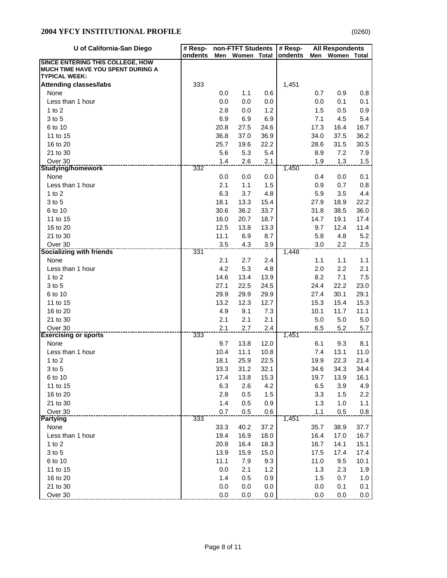| ٠ |
|---|
|---|

| U of California-San Diego                                                           | # Resp- |             | non-FTFT Students |      | # Resp- |              | <b>All Respondents</b> |             |
|-------------------------------------------------------------------------------------|---------|-------------|-------------------|------|---------|--------------|------------------------|-------------|
|                                                                                     | ondents | Men         | Women Total       |      | ondents | Men          | Women Total            |             |
| <b>SINCE ENTERING THIS COLLEGE, HOW</b><br><b>MUCH TIME HAVE YOU SPENT DURING A</b> |         |             |                   |      |         |              |                        |             |
| <b>TYPICAL WEEK:</b>                                                                |         |             |                   |      |         |              |                        |             |
| <b>Attending classes/labs</b>                                                       | 333     |             |                   |      | 1,451   |              |                        |             |
| None                                                                                |         | 0.0         | 1.1               | 0.6  |         | 0.7          | 0.9                    | 0.8         |
| Less than 1 hour                                                                    |         | 0.0         | 0.0               | 0.0  |         | 0.0          | 0.1                    | 0.1         |
| 1 to $2$                                                                            |         | 2.8         | 0.0               | 1.2  |         | 1.5          | 0.5                    | 0.9         |
| 3 to 5                                                                              |         | 6.9         | 6.9               | 6.9  |         | 7.1          | 4.5                    | 5.4         |
| 6 to 10                                                                             |         | 20.8        | 27.5              | 24.6 |         | 17.3         | 16.4                   | 16.7        |
| 11 to 15                                                                            |         | 36.8        | 37.0              | 36.9 |         | 34.0         | 37.5                   | 36.2        |
| 16 to 20                                                                            |         | 25.7        | 19.6              | 22.2 |         | 28.6         | 31.5                   | 30.5        |
| 21 to 30                                                                            |         | 5.6         | 5.3               | 5.4  |         | 8.9          | 7.2                    | 7.9         |
| Over 30                                                                             |         | 1.4         | 2.6               | 2.1  |         | 1.9          | 1.3                    | 1.5         |
| <b>Studying/homework</b>                                                            | 332     |             |                   |      | 1,450   |              |                        |             |
| None                                                                                |         | 0.0         | 0.0               | 0.0  |         | 0.4          | 0.0                    | 0.1         |
| Less than 1 hour                                                                    |         | 2.1         | 1.1               | 1.5  |         | 0.9          | 0.7                    | 0.8         |
| 1 to $2$                                                                            |         | 6.3         | 3.7               | 4.8  |         | 5.9          | 3.5                    | 4.4         |
| 3 to 5                                                                              |         | 18.1        | 13.3              | 15.4 |         | 27.9         | 18.9                   | 22.2        |
| 6 to 10                                                                             |         | 30.6        | 36.2              | 33.7 |         | 31.8         | 38.5                   | 36.0        |
| 11 to 15                                                                            |         | 16.0        | 20.7              | 18.7 |         | 14.7         | 19.1                   | 17.4        |
| 16 to 20                                                                            |         | 12.5        | 13.8              | 13.3 |         | 9.7          | 12.4                   | 11.4        |
| 21 to 30                                                                            |         | 11.1        | 6.9               | 8.7  |         | 5.8          | 4.8                    | 5.2         |
| Over 30                                                                             |         | 3.5         | 4.3               | 3.9  |         | 3.0          | 2.2                    | 2.5         |
| <b>Socializing with friends</b>                                                     | 331     |             |                   |      | 1,448   |              |                        |             |
| None                                                                                |         | 2.1         | 2.7               | 2.4  |         | 1.1          | 1.1                    | 1.1         |
| Less than 1 hour                                                                    |         | 4.2         | 5.3               | 4.8  |         | 2.0          | 2.2                    | 2.1         |
| $1$ to $2$                                                                          |         | 14.6        | 13.4              | 13.9 |         | 8.2          | 7.1                    | 7.5         |
| 3 to 5                                                                              |         | 27.1        | 22.5              | 24.5 |         | 24.4         | 22.2                   | 23.0        |
| 6 to 10                                                                             |         | 29.9        | 29.9              | 29.9 |         | 27.4         | 30.1                   | 29.1        |
| 11 to 15                                                                            |         | 13.2        | 12.3              | 12.7 |         | 15.3         | 15.4                   | 15.3        |
| 16 to 20                                                                            |         | 4.9         | 9.1               | 7.3  |         | 10.1         | 11.7                   | 11.1        |
| 21 to 30                                                                            |         | 2.1         | 2.1               | 2.1  |         | 5.0          | 5.0                    | $5.0\,$     |
| Over 30                                                                             |         | 2.1         | 2.7               | 2.4  |         | 6.5          | 5.2                    | 5.7         |
| <b>Exercising or sports</b>                                                         | 333     |             |                   | 12.0 | 1,451   |              |                        |             |
| None<br>Less than 1 hour                                                            |         | 9.7<br>10.4 | 13.8<br>11.1      | 10.8 |         | 6.1<br>7.4   | 9.3<br>13.1            | 8.1<br>11.0 |
| 1 to $2$                                                                            |         | 18.1        | 25.9              | 22.5 |         |              | 22.3                   | 21.4        |
| 3 to 5                                                                              |         | 33.3        | 31.2              | 32.1 |         | 19.9<br>34.6 | 34.3                   | 34.4        |
| 6 to 10                                                                             |         | 17.4        | 13.8              | 15.3 |         | 19.7         | 13.9                   | 16.1        |
| 11 to 15                                                                            |         | 6.3         | 2.6               | 4.2  |         | 6.5          | 3.9                    | 4.9         |
| 16 to 20                                                                            |         | 2.8         | 0.5               | 1.5  |         | 3.3          | 1.5                    | 2.2         |
| 21 to 30                                                                            |         | 1.4         | 0.5               | 0.9  |         | 1.3          | 1.0                    | 1.1         |
| Over 30                                                                             |         | 0.7         | 0.5               | 0.6  |         | 1.1          | 0.5                    |             |
| <b>Partying</b>                                                                     | 333     |             |                   |      | 1,451   |              |                        | 0.8         |
| None                                                                                |         | 33.3        | 40.2              | 37.2 |         | 35.7         | 38.9                   | 37.7        |
| Less than 1 hour                                                                    |         | 19.4        | 16.9              | 18.0 |         | 16.4         | 17.0                   | 16.7        |
| 1 to $2$                                                                            |         | 20.8        | 16.4              | 18.3 |         | 16.7         | 14.1                   | 15.1        |
| 3 to 5                                                                              |         | 13.9        | 15.9              | 15.0 |         | 17.5         | 17.4                   | 17.4        |
| 6 to 10                                                                             |         | 11.1        | 7.9               | 9.3  |         | 11.0         | 9.5                    | 10.1        |
| 11 to 15                                                                            |         | 0.0         | 2.1               | 1.2  |         | 1.3          | 2.3                    | 1.9         |
| 16 to 20                                                                            |         | 1.4         | 0.5               | 0.9  |         | 1.5          | 0.7                    | 1.0         |
| 21 to 30                                                                            |         | $0.0\,$     | 0.0               | 0.0  |         | 0.0          | 0.1                    | 0.1         |
| Over 30                                                                             |         | 0.0         | 0.0               | 0.0  |         | 0.0          | 0.0                    | 0.0         |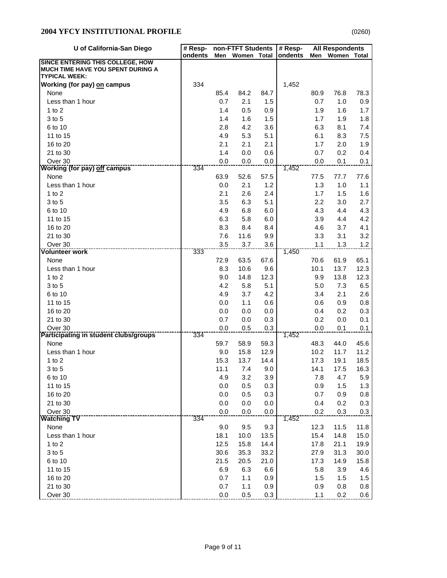# **2004 YFCY INSTITUTIONAL PROFILE**

|--|

| U of California-San Diego                                                    | # Resp- |      | non-FTFT Students |              | # Resp- |      | <b>All Respondents</b> |      |  |
|------------------------------------------------------------------------------|---------|------|-------------------|--------------|---------|------|------------------------|------|--|
|                                                                              | ondents | Men  | Women Total       |              | ondents | Men  | Women Total            |      |  |
| SINCE ENTERING THIS COLLEGE, HOW<br><b>MUCH TIME HAVE YOU SPENT DURING A</b> |         |      |                   |              |         |      |                        |      |  |
| <b>TYPICAL WEEK:</b>                                                         |         |      |                   |              |         |      |                        |      |  |
| Working (for pay) on campus                                                  | 334     |      |                   |              | 1,452   |      |                        |      |  |
| None                                                                         |         | 85.4 | 84.2              | 84.7         |         | 80.9 | 76.8                   | 78.3 |  |
| Less than 1 hour                                                             |         | 0.7  | 2.1               | 1.5          |         | 0.7  | 1.0                    | 0.9  |  |
| $1$ to $2$                                                                   |         | 1.4  | 0.5               | 0.9          |         | 1.9  | 1.6                    | 1.7  |  |
| 3 to 5                                                                       |         | 1.4  | 1.6               | 1.5          |         | 1.7  | 1.9                    | 1.8  |  |
| 6 to 10                                                                      |         | 2.8  | 4.2               | 3.6          |         | 6.3  | 8.1                    | 7.4  |  |
| 11 to 15                                                                     |         | 4.9  | 5.3               | 5.1          |         | 6.1  | 8.3                    | 7.5  |  |
| 16 to 20                                                                     |         | 2.1  | 2.1               | 2.1          |         | 1.7  | 2.0                    | 1.9  |  |
| 21 to 30                                                                     |         | 1.4  | 0.0               | 0.6          |         | 0.7  | 0.2                    | 0.4  |  |
| Over 30                                                                      |         | 0.0  | 0.0               | 0.0          |         | 0.0  | 0.1                    | 0.1  |  |
| <b>Working (for pay) off campus</b>                                          | 334     |      |                   |              | 1,452   |      |                        |      |  |
| None                                                                         |         | 63.9 | 52.6              | 57.5         |         | 77.5 | 77.7                   | 77.6 |  |
| Less than 1 hour                                                             |         | 0.0  | 2.1               | 1.2          |         | 1.3  | 1.0                    | 1.1  |  |
| $1$ to $2$                                                                   |         | 2.1  | 2.6               | 2.4          |         | 1.7  | 1.5                    | 1.6  |  |
| 3 to 5                                                                       |         | 3.5  | 6.3               | 5.1          |         | 2.2  | 3.0                    | 2.7  |  |
| 6 to 10                                                                      |         | 4.9  | 6.8               | 6.0          |         | 4.3  | 4.4                    | 4.3  |  |
| 11 to 15                                                                     |         | 6.3  | 5.8               | 6.0          |         | 3.9  | 4.4                    | 4.2  |  |
| 16 to 20                                                                     |         | 8.3  | 8.4               | 8.4          |         | 4.6  | 3.7                    | 4.1  |  |
| 21 to 30                                                                     |         | 7.6  | 11.6              | 9.9          |         | 3.3  | 3.1                    | 3.2  |  |
| Over 30                                                                      |         | 3.5  | 3.7               | 3.6          |         | 1.1  | 1.3                    | 1.2  |  |
| <b>Volunteer work</b>                                                        | 333     |      |                   |              | 1,450   |      |                        |      |  |
| None                                                                         |         | 72.9 | 63.5              | 67.6         |         | 70.6 | 61.9                   | 65.1 |  |
| Less than 1 hour                                                             |         | 8.3  | 10.6              | 9.6          |         | 10.1 | 13.7                   | 12.3 |  |
| 1 to $2$                                                                     |         | 9.0  | 14.8              | 12.3         |         | 9.9  | 13.8                   | 12.3 |  |
| 3 to 5                                                                       |         | 4.2  | 5.8               | 5.1          |         | 5.0  | 7.3                    | 6.5  |  |
| 6 to 10                                                                      |         | 4.9  | 3.7               | 4.2          |         | 3.4  | 2.1                    | 2.6  |  |
| 11 to 15                                                                     |         | 0.0  | 1.1               | 0.6          |         | 0.6  | 0.9                    | 0.8  |  |
| 16 to 20                                                                     |         | 0.0  | 0.0               | 0.0          |         | 0.4  | 0.2                    | 0.3  |  |
| 21 to 30                                                                     |         | 0.7  | 0.0               | 0.3          |         | 0.2  | 0.0                    | 0.1  |  |
| Over 30                                                                      | 334     | 0.0  | 0.5               | 0.3          |         | 0.0  | 0.1                    | 0.1  |  |
| <b>Participating in student clubs/groups</b><br>None                         |         | 59.7 | 58.9              |              | 1,452   | 48.3 | 44.0                   | 45.6 |  |
| Less than 1 hour                                                             |         | 9.0  |                   | 59.3         |         | 10.2 | 11.7                   | 11.2 |  |
| 1 to $2$                                                                     |         | 15.3 | 15.8<br>13.7      | 12.9<br>14.4 |         | 17.3 | 19.1                   | 18.5 |  |
| 3 to 5                                                                       |         | 11.1 | 7.4               | 9.0          |         | 14.1 | 17.5                   | 16.3 |  |
| 6 to 10                                                                      |         | 4.9  | 3.2               | 3.9          |         | 7.8  | 4.7                    | 5.9  |  |
| 11 to 15                                                                     |         | 0.0  | 0.5               | 0.3          |         | 0.9  | 1.5                    | 1.3  |  |
| 16 to 20                                                                     |         | 0.0  | 0.5               | 0.3          |         | 0.7  | 0.9                    | 0.8  |  |
| 21 to 30                                                                     |         | 0.0  | 0.0               | 0.0          |         | 0.4  | 0.2                    | 0.3  |  |
| Over 30                                                                      |         | 0.0  | 0.0               | 0.0          |         | 0.2  | 0.3                    |      |  |
| <b>Watching TV</b>                                                           | 334     |      |                   |              | 1,452   |      |                        | 0.3  |  |
| None                                                                         |         | 9.0  | 9.5               | 9.3          |         | 12.3 | 11.5                   | 11.8 |  |
| Less than 1 hour                                                             |         | 18.1 | 10.0              | 13.5         |         | 15.4 | 14.8                   | 15.0 |  |
| 1 to $2$                                                                     |         | 12.5 | 15.8              | 14.4         |         | 17.8 | 21.1                   | 19.9 |  |
| 3 to 5                                                                       |         | 30.6 | 35.3              | 33.2         |         | 27.9 | 31.3                   | 30.0 |  |
| 6 to 10                                                                      |         | 21.5 | 20.5              | 21.0         |         | 17.3 | 14.9                   | 15.8 |  |
| 11 to 15                                                                     |         | 6.9  | 6.3               | 6.6          |         | 5.8  | 3.9                    | 4.6  |  |
| 16 to 20                                                                     |         | 0.7  | 1.1               | 0.9          |         | 1.5  | 1.5                    | 1.5  |  |
| 21 to 30                                                                     |         | 0.7  | 1.1               | 0.9          |         | 0.9  | 0.8                    | 0.8  |  |
| Over 30                                                                      |         | 0.0  | 0.5               | 0.3          |         | 1.1  | 0.2                    | 0.6  |  |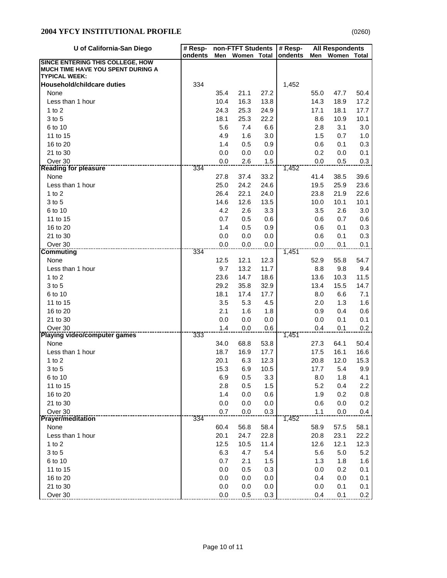|--|

| U of California-San Diego                                 | # Resp- | non-FTFT Students |             |            | # Resp- | <b>All Respondents</b> |             |            |
|-----------------------------------------------------------|---------|-------------------|-------------|------------|---------|------------------------|-------------|------------|
|                                                           | ondents | Men               | Women Total |            | ondents | Men                    | Women Total |            |
| SINCE ENTERING THIS COLLEGE, HOW                          |         |                   |             |            |         |                        |             |            |
| MUCH TIME HAVE YOU SPENT DURING A<br><b>TYPICAL WEEK:</b> |         |                   |             |            |         |                        |             |            |
| <b>Household/childcare duties</b>                         | 334     |                   |             |            | 1,452   |                        |             |            |
| None                                                      |         | 35.4              | 21.1        | 27.2       |         | 55.0                   | 47.7        | 50.4       |
| Less than 1 hour                                          |         | 10.4              | 16.3        | 13.8       |         | 14.3                   | 18.9        | 17.2       |
| $1$ to $2$                                                |         | 24.3              | 25.3        | 24.9       |         | 17.1                   | 18.1        | 17.7       |
| 3 to 5                                                    |         | 18.1              | 25.3        | 22.2       |         | 8.6                    | 10.9        | 10.1       |
| 6 to 10                                                   |         | 5.6               | 7.4         | 6.6        |         | $2.8\,$                | 3.1         | 3.0        |
| 11 to 15                                                  |         | 4.9               | 1.6         | 3.0        |         | 1.5                    | 0.7         | 1.0        |
| 16 to 20                                                  |         | 1.4               | 0.5         | 0.9        |         | 0.6                    | 0.1         | 0.3        |
| 21 to 30                                                  |         | 0.0               | 0.0         | 0.0        |         | 0.2                    | 0.0         | 0.1        |
| Over 30                                                   |         | 0.0               | 2.6         | 1.5        |         | 0.0                    | 0.5         | 0.3        |
| <b>Reading for pleasure</b>                               | 334     |                   |             |            | 1,452   |                        |             |            |
| None                                                      |         | 27.8              | 37.4        | 33.2       |         | 41.4                   | 38.5        | 39.6       |
| Less than 1 hour                                          |         | 25.0              | 24.2        | 24.6       |         | 19.5                   | 25.9        | 23.6       |
| $1$ to $2$                                                |         | 26.4              | 22.1        | 24.0       |         | 23.8                   | 21.9        | 22.6       |
| 3 to 5                                                    |         | 14.6              | 12.6        | 13.5       |         | 10.0                   | 10.1        | 10.1       |
| 6 to 10                                                   |         | 4.2               | 2.6         | 3.3        |         | 3.5                    | 2.6         | 3.0        |
| 11 to 15                                                  |         | 0.7               | 0.5         | 0.6        |         | 0.6                    | 0.7         | 0.6        |
| 16 to 20                                                  |         | 1.4               | 0.5         | 0.9        |         | 0.6                    | 0.1         | 0.3        |
| 21 to 30                                                  |         | 0.0               | 0.0         | 0.0        |         | $0.6\,$                | 0.1         | 0.3        |
| Over 30                                                   |         | 0.0               | 0.0         | 0.0        |         | 0.0                    | 0.1         | 0.1        |
| <b>Commuting</b>                                          | 334     |                   |             |            | 1,451   |                        |             |            |
| None                                                      |         | 12.5              | 12.1        | 12.3       |         | 52.9                   | 55.8        | 54.7       |
| Less than 1 hour                                          |         | 9.7               | 13.2        | 11.7       |         | 8.8                    | 9.8         | 9.4        |
| 1 to $2$                                                  |         | 23.6              | 14.7        | 18.6       |         | 13.6                   | 10.3        | 11.5       |
| 3 to 5                                                    |         | 29.2              | 35.8        | 32.9       |         | 13.4                   | 15.5        | 14.7       |
| 6 to 10                                                   |         | 18.1              | 17.4        | 17.7       |         | 8.0                    | 6.6         | 7.1        |
| 11 to 15                                                  |         | 3.5               | 5.3         | 4.5        |         | 2.0                    | 1.3         | 1.6        |
| 16 to 20                                                  |         | 2.1               | 1.6         | 1.8        |         | 0.9                    | 0.4         | 0.6        |
| 21 to 30                                                  |         | 0.0               | 0.0         | 0.0        |         | 0.0                    | 0.1         | 0.1        |
| Over 30                                                   |         | 1.4               | 0.0         | 0.6        |         | 0.4                    | 0.1         | 0.2        |
| <b>Playing video/computer games</b>                       | 333     |                   |             |            | 1,451   |                        |             |            |
| None                                                      |         | 34.0              | 68.8        | 53.8       |         | 27.3                   | 64.1        | 50.4       |
| Less than 1 hour                                          |         | 18.7              | 16.9        | 17.7       |         | 17.5                   | 16.1        | 16.6       |
| 1 to $2$                                                  |         | 20.1              | 6.3         | 12.3       |         | 20.8                   | 12.0        | 15.3       |
| 3 to 5                                                    |         | 15.3              | 6.9         | 10.5       |         | 17.7                   | 5.4         | 9.9        |
| 6 to 10                                                   |         | 6.9               | 0.5         | 3.3        |         | 8.0                    | 1.8         | 4.1        |
| 11 to 15                                                  |         | 2.8               | 0.5         | 1.5        |         | 5.2                    | 0.4         | 2.2        |
| 16 to 20                                                  |         | 1.4               | 0.0         | 0.6        |         | 1.9                    | 0.2         | 0.8        |
| 21 to 30                                                  |         | 0.0               | 0.0         | 0.0        |         | 0.6                    | 0.0         | 0.2        |
| Over 30<br><b>Prayer/meditation</b>                       | 334     | 0.7               | 0.0         | $0.3\,$    | 1,452   | 1.1                    | 0.0         | 0.4        |
|                                                           |         |                   |             |            |         |                        |             |            |
| None                                                      |         | 60.4              | 56.8        | 58.4       |         | 58.9                   | 57.5        | 58.1       |
| Less than 1 hour                                          |         | 20.1              | 24.7        | 22.8       |         | 20.8                   | 23.1        | 22.2       |
| 1 to $2$                                                  |         | 12.5              | 10.5        | 11.4       |         | 12.6                   | 12.1        | 12.3       |
| 3 to 5                                                    |         | 6.3               | 4.7         | 5.4        |         | 5.6                    | $5.0$       | 5.2        |
| 6 to 10                                                   |         | 0.7               | 2.1         | 1.5        |         | 1.3                    | 1.8         | 1.6        |
| 11 to 15<br>16 to 20                                      |         | 0.0               | 0.5         | 0.3        |         | 0.0                    | 0.2         | 0.1        |
| 21 to 30                                                  |         | 0.0               | 0.0         | 0.0        |         | 0.4                    | 0.0         | 0.1        |
| Over 30                                                   |         | 0.0<br>0.0        | 0.0<br>0.5  | 0.0<br>0.3 |         | 0.0<br>0.4             | 0.1<br>0.1  | 0.1<br>0.2 |
|                                                           |         |                   |             |            |         |                        |             |            |